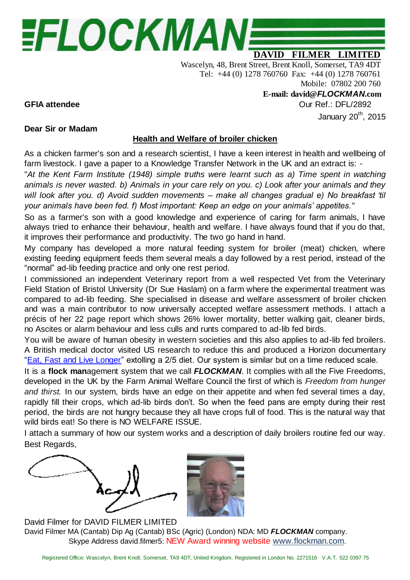# EFLOCKMAN:

## **DAVID FILMER LIMITED**

Wascelyn, 48, Brent Street, Brent Knoll, Somerset, TA9 4DT Tel: +44 (0) 1278 760760 Fax: +44 (0) 1278 760761 Mobile: 07802 200 760

**E-mail: david@***FLOCKMAN***.com**

**GFIA attendee** Our Ref.: DFL/2892

January  $20^{th}$ ,  $2015$ 

### **Dear Sir or Madam**

#### **Health and Welfare of broiler chicken**

As a chicken farmer's son and a research scientist, I have a keen interest in health and wellbeing of farm livestock. I gave a paper to a Knowledge Transfer Network in the UK and an extract is: -

"*At the Kent Farm Institute (1948) simple truths were learnt such as a) Time spent in watching animals is never wasted. b) Animals in your care rely on you. c) Look after your animals and they will look after you. d) Avoid sudden movements – make all changes gradual e) No breakfast 'til your animals have been fed. f) Most important: Keep an edge on your animals' appetites.*"

So as a farmer's son with a good knowledge and experience of caring for farm animals, I have always tried to enhance their behaviour, health and welfare. I have always found that if you do that, it improves their performance and productivity. The two go hand in hand.

My company has developed a more natural feeding system for broiler (meat) chicken, where existing feeding equipment feeds them several meals a day followed by a rest period, instead of the "normal" ad-lib feeding practice and only one rest period.

I commissioned an independent Veterinary report from a well respected Vet from the Veterinary Field Station of Bristol University (Dr Sue Haslam) on a farm where the experimental treatment was compared to ad-lib feeding. She specialised in disease and welfare assessment of broiler chicken and was a main contributor to now universally accepted welfare assessment methods. I attach a précis of her 22 page report which shows 26% lower mortality, better walking gait, cleaner birds, no Ascites or alarm behaviour and less culls and runts compared to ad-lib fed birds.

You will be aware of human obesity in western societies and this also applies to ad-lib fed broilers. A British medical doctor visited US research to reduce this and produced a Horizon documentary ["Eat, Fast and Live Longer"](https://www.google.co.uk/url?sa=t&rct=j&q=&esrc=s&source=web&cd=3&cad=rja&uact=8&ved=0CDUQtwIwAg&url=http%3A%2F%2Fwww.dailymotion.com%2Fvideo%2Fxvdbtt_eat-fast-live-longer-hd_shortfilms&ei=ePeUU7zbEMWRyATcg4H4Dw&usg=AFQjCNHPV5RJ98QN14DiWPixY8AF-iRsPA) extolling a 2/5 diet. Our system is similar but on a time reduced scale.

It is a **flock man**agement system that we call *FLOCKMAN*. It complies with all the Five Freedoms, developed in the UK by the Farm Animal Welfare Council the first of which is *Freedom from hunger and thirst.* In our system, birds have an edge on their appetite and when fed several times a day, rapidly fill their crops, which ad-lib birds don't. So when the feed pans are empty during their rest period, the birds are not hungry because they all have crops full of food. This is the natural way that wild birds eat! So there is NO WELFARE ISSUE.

I attach a summary of how our system works and a description of daily broilers routine fed our way. Best Regards,



David Filmer for DAVID FILMER LIMITED David Filmer MA (Cantab) Dip Ag (Cantab) BSc (Agric) (London) NDA: MD *FLOCKMAN* company. Skype Address david.filmer5: NEW Award winning website [www.flockman.com.](http://www.flockman.com/)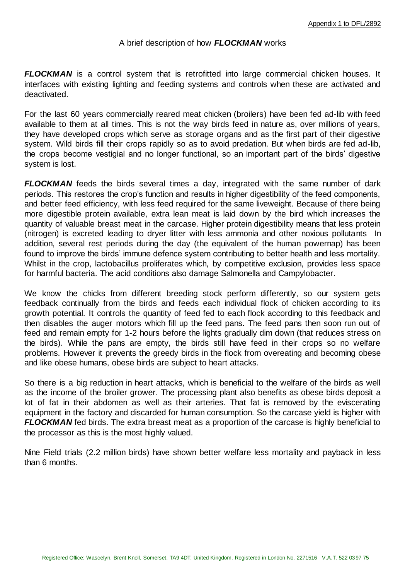#### A brief description of how *FLOCKMAN* works

*FLOCKMAN* is a control system that is retrofitted into large commercial chicken houses. It interfaces with existing lighting and feeding systems and controls when these are activated and deactivated.

For the last 60 years commercially reared meat chicken (broilers) have been fed ad-lib with feed available to them at all times. This is not the way birds feed in nature as, over millions of years, they have developed crops which serve as storage organs and as the first part of their digestive system. Wild birds fill their crops rapidly so as to avoid predation. But when birds are fed ad-lib, the crops become vestigial and no longer functional, so an important part of the birds' digestive system is lost.

*FLOCKMAN* feeds the birds several times a day, integrated with the same number of dark periods. This restores the crop's function and results in higher digestibility of the feed components, and better feed efficiency, with less feed required for the same liveweight. Because of there being more digestible protein available, extra lean meat is laid down by the bird which increases the quantity of valuable breast meat in the carcase. Higher protein digestibility means that less protein (nitrogen) is excreted leading to dryer litter with less ammonia and other noxious pollutants In addition, several rest periods during the day (the equivalent of the human powernap) has been found to improve the birds' immune defence system contributing to better health and less mortality. Whilst in the crop, lactobacillus proliferates which, by competitive exclusion, provides less space for harmful bacteria. The acid conditions also damage Salmonella and Campylobacter.

We know the chicks from different breeding stock perform differently, so our system gets feedback continually from the birds and feeds each individual flock of chicken according to its growth potential. It controls the quantity of feed fed to each flock according to this feedback and then disables the auger motors which fill up the feed pans. The feed pans then soon run out of feed and remain empty for 1-2 hours before the lights gradually dim down (that reduces stress on the birds). While the pans are empty, the birds still have feed in their crops so no welfare problems. However it prevents the greedy birds in the flock from overeating and becoming obese and like obese humans, obese birds are subject to heart attacks.

So there is a big reduction in heart attacks, which is beneficial to the welfare of the birds as well as the income of the broiler grower. The processing plant also benefits as obese birds deposit a lot of fat in their abdomen as well as their arteries. That fat is removed by the eviscerating equipment in the factory and discarded for human consumption. So the carcase yield is higher with *FLOCKMAN* fed birds. The extra breast meat as a proportion of the carcase is highly beneficial to the processor as this is the most highly valued.

Nine Field trials (2.2 million birds) have shown better welfare less mortality and payback in less than 6 months.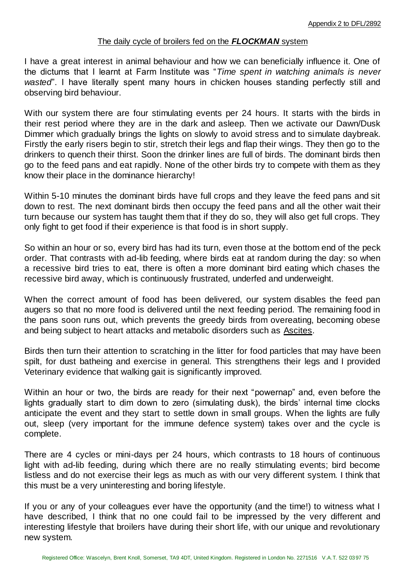#### The daily cycle of broilers fed on the *FLOCKMAN* system

I have a great interest in animal behaviour and how we can beneficially influence it. One of the dictums that I learnt at Farm Institute was "*Time spent in watching animals is never wasted*". I have literally spent many hours in chicken houses standing perfectly still and observing bird behaviour.

With our system there are four stimulating events per 24 hours. It starts with the birds in their rest period where they are in the dark and asleep. Then we activate our Dawn/Dusk Dimmer which gradually brings the lights on slowly to avoid stress and to simulate daybreak. Firstly the early risers begin to stir, stretch their legs and flap their wings. They then go to the drinkers to quench their thirst. Soon the drinker lines are full of birds. The dominant birds then go to the feed pans and eat rapidly. None of the other birds try to compete with them as they know their place in the dominance hierarchy!

Within 5-10 minutes the dominant birds have full crops and they leave the feed pans and sit down to rest. The next dominant birds then occupy the feed pans and all the other wait their turn because our system has taught them that if they do so, they will also get full crops. They only fight to get food if their experience is that food is in short supply.

So within an hour or so, every bird has had its turn, even those at the bottom end of the peck order. That contrasts with ad-lib feeding, where birds eat at random during the day: so when a recessive bird tries to eat, there is often a more dominant bird eating which chases the recessive bird away, which is continuously frustrated, underfed and underweight.

When the correct amount of food has been delivered, our system disables the feed pan augers so that no more food is delivered until the next feeding period. The remaining food in the pans soon runs out, which prevents the greedy birds from overeating, becoming obese and being subject to heart attacks and metabolic disorders such as [Ascites.](http://en.wikipedia.org/wiki/Ascites)

Birds then turn their attention to scratching in the litter for food particles that may have been spilt, for dust batheing and exercise in general. This strengthens their legs and I provided Veterinary evidence that walking gait is significantly improved.

Within an hour or two, the birds are ready for their next "powernap" and, even before the lights gradually start to dim down to zero (simulating dusk), the birds' internal time clocks anticipate the event and they start to settle down in small groups. When the lights are fully out, sleep (very important for the immune defence system) takes over and the cycle is complete.

There are 4 cycles or mini-days per 24 hours, which contrasts to 18 hours of continuous light with ad-lib feeding, during which there are no really stimulating events; bird become listless and do not exercise their legs as much as with our very different system. I think that this must be a very uninteresting and boring lifestyle.

If you or any of your colleagues ever have the opportunity (and the time!) to witness what I have described, I think that no one could fail to be impressed by the very different and interesting lifestyle that broilers have during their short life, with our unique and revolutionary new system.